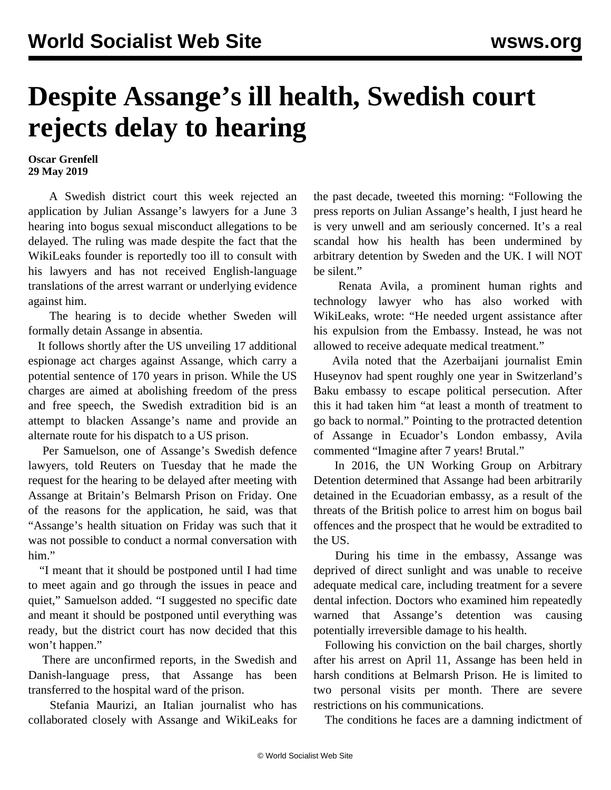## **Despite Assange's ill health, Swedish court rejects delay to hearing**

**Oscar Grenfell 29 May 2019**

 A Swedish district court this week rejected an application by Julian Assange's lawyers for a June 3 hearing into bogus sexual misconduct allegations to be delayed. The ruling was made despite the fact that the WikiLeaks founder is reportedly too ill to consult with his lawyers and has not received English-language translations of the arrest warrant or underlying evidence against him.

 The hearing is to decide whether Sweden will formally detain Assange in absentia.

 It follows shortly after the US unveiling 17 additional espionage act charges against Assange, which carry a potential sentence of 170 years in prison. While the US charges are aimed at abolishing freedom of the press and free speech, the Swedish extradition bid is an attempt to blacken Assange's name and provide an alternate route for his dispatch to a US prison.

 Per Samuelson, one of Assange's Swedish defence lawyers, told Reuters on Tuesday that he made the request for the hearing to be delayed after meeting with Assange at Britain's Belmarsh Prison on Friday. One of the reasons for the application, he said, was that "Assange's health situation on Friday was such that it was not possible to conduct a normal conversation with him."

 "I meant that it should be postponed until I had time to meet again and go through the issues in peace and quiet," Samuelson added. "I suggested no specific date and meant it should be postponed until everything was ready, but the district court has now decided that this won't happen."

 There are unconfirmed reports, in the Swedish and Danish-language press, that Assange has been transferred to the hospital ward of the prison.

 Stefania Maurizi, an Italian journalist who has collaborated closely with Assange and WikiLeaks for the past decade, tweeted this morning: "Following the press reports on Julian Assange's health, I just heard he is very unwell and am seriously concerned. It's a real scandal how his health has been undermined by arbitrary detention by Sweden and the UK. I will NOT be silent."

 Renata Avila, a prominent human rights and technology lawyer who has also worked with WikiLeaks, wrote: "He needed urgent assistance after his expulsion from the Embassy. Instead, he was not allowed to receive adequate medical treatment."

 Avila noted that the Azerbaijani journalist Emin Huseynov had spent roughly one year in Switzerland's Baku embassy to escape political persecution. After this it had taken him "at least a month of treatment to go back to normal." Pointing to the protracted detention of Assange in Ecuador's London embassy, Avila commented "Imagine after 7 years! Brutal."

 In 2016, the UN Working Group on Arbitrary Detention determined that Assange had been arbitrarily detained in the Ecuadorian embassy, as a result of the threats of the British police to arrest him on bogus bail offences and the prospect that he would be extradited to the US.

 During his time in the embassy, Assange was deprived of direct sunlight and was unable to receive adequate medical care, including treatment for a severe dental infection. Doctors who examined him repeatedly warned that Assange's detention was causing potentially irreversible damage to his health.

 Following his conviction on the bail charges, shortly after his arrest on April 11, Assange has been held in harsh conditions at Belmarsh Prison. He is limited to two personal visits per month. There are severe restrictions on his communications.

The conditions he faces are a damning indictment of